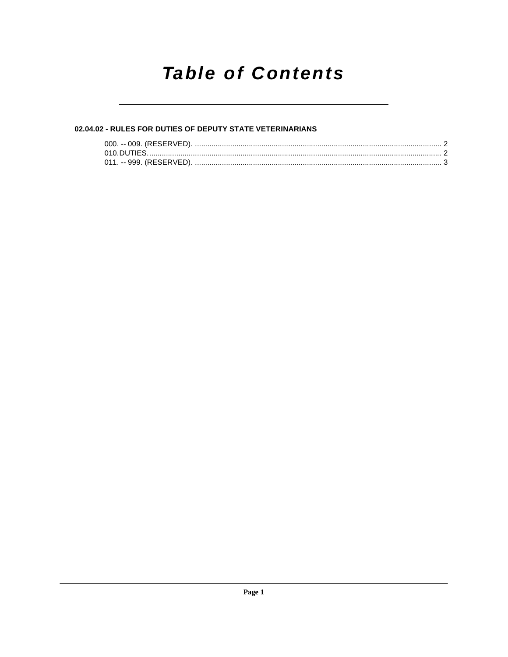# **Table of Contents**

# 02.04.02 - RULES FOR DUTIES OF DEPUTY STATE VETERINARIANS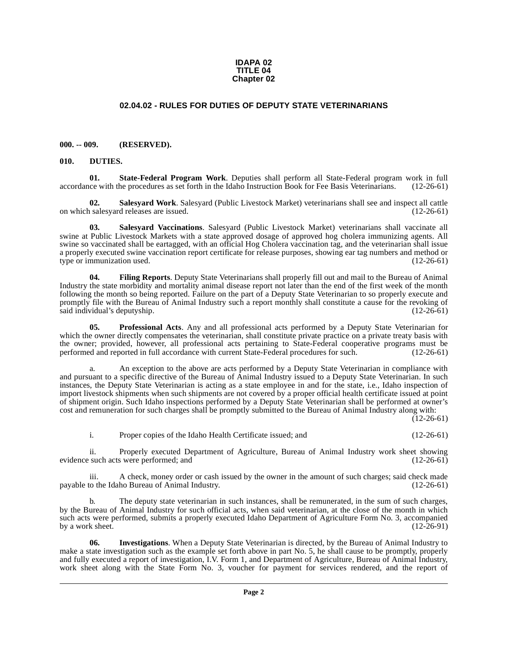#### **IDAPA 02 TITLE 04 Chapter 02**

## **02.04.02 - RULES FOR DUTIES OF DEPUTY STATE VETERINARIANS**

#### <span id="page-1-1"></span><span id="page-1-0"></span>**000. -- 009. (RESERVED).**

#### <span id="page-1-3"></span><span id="page-1-2"></span>**010. DUTIES.**

<span id="page-1-9"></span>**01.** State-Federal Program Work. Deputies shall perform all State-Federal program work in full ce with the procedures as set forth in the Idaho Instruction Book for Fee Basis Veterinarians. (12-26-61) accordance with the procedures as set forth in the Idaho Instruction Book for Fee Basis Veterinarians.

<span id="page-1-8"></span>**02. Salesyard Work**. Salesyard (Public Livestock Market) veterinarians shall see and inspect all cattle on which salesyard releases are issued.

<span id="page-1-7"></span>**03. Salesyard Vaccinations**. Salesyard (Public Livestock Market) veterinarians shall vaccinate all swine at Public Livestock Markets with a state approved dosage of approved hog cholera immunizing agents. All swine so vaccinated shall be eartagged, with an official Hog Cholera vaccination tag, and the veterinarian shall issue a properly executed swine vaccination report certificate for release purposes, showing ear tag numbers and method or type or immunization used. (12-26-61) type or immunization used.

<span id="page-1-4"></span>**04. Filing Reports**. Deputy State Veterinarians shall properly fill out and mail to the Bureau of Animal Industry the state morbidity and mortality animal disease report not later than the end of the first week of the month following the month so being reported. Failure on the part of a Deputy State Veterinarian to so properly execute and promptly file with the Bureau of Animal Industry such a report monthly shall constitute a cause for the revoking of said individual's deputyship. (12-26-61) said individual's deputyship.

<span id="page-1-6"></span>**05. Professional Acts**. Any and all professional acts performed by a Deputy State Veterinarian for which the owner directly compensates the veterinarian, shall constitute private practice on a private treaty basis with the owner; provided, however, all professional acts pertaining to State-Federal cooperative programs must be performed and reported in full accordance with current State-Federal procedures for such. (12-26-61)

a. An exception to the above are acts performed by a Deputy State Veterinarian in compliance with and pursuant to a specific directive of the Bureau of Animal Industry issued to a Deputy State Veterinarian. In such instances, the Deputy State Veterinarian is acting as a state employee in and for the state, i.e., Idaho inspection of import livestock shipments when such shipments are not covered by a proper official health certificate issued at point of shipment origin. Such Idaho inspections performed by a Deputy State Veterinarian shall be performed at owner's cost and remuneration for such charges shall be promptly submitted to the Bureau of Animal Industry along with:

 $(12-26-61)$ 

i. Proper copies of the Idaho Health Certificate issued; and (12-26-61)

ii. Properly executed Department of Agriculture, Bureau of Animal Industry work sheet showing such acts were performed; and (12-26-61) evidence such acts were performed; and

iii. A check, money order or cash issued by the owner in the amount of such charges; said check made<br>to the Idaho Bureau of Animal Industry. (12-26-61) payable to the Idaho Bureau of Animal Industry.

The deputy state veterinarian in such instances, shall be remunerated, in the sum of such charges, by the Bureau of Animal Industry for such official acts, when said veterinarian, at the close of the month in which such acts were performed, submits a properly executed Idaho Department of Agriculture Form No. 3, accompanied<br>by a work sheet. (12-26-91) by a work sheet.

<span id="page-1-5"></span>**06. Investigations**. When a Deputy State Veterinarian is directed, by the Bureau of Animal Industry to make a state investigation such as the example set forth above in part No. 5, he shall cause to be promptly, properly and fully executed a report of investigation, I.V. Form 1, and Department of Agriculture, Bureau of Animal Industry, work sheet along with the State Form No. 3, voucher for payment for services rendered, and the report of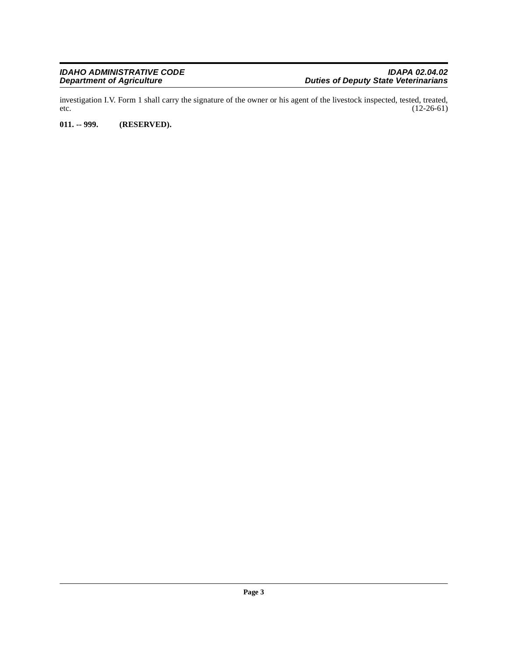investigation I.V. Form 1 shall carry the signature of the owner or his agent of the livestock inspected, tested, treated, etc.  $(12-26-61)$ 

## <span id="page-2-0"></span>**011. -- 999. (RESERVED).**